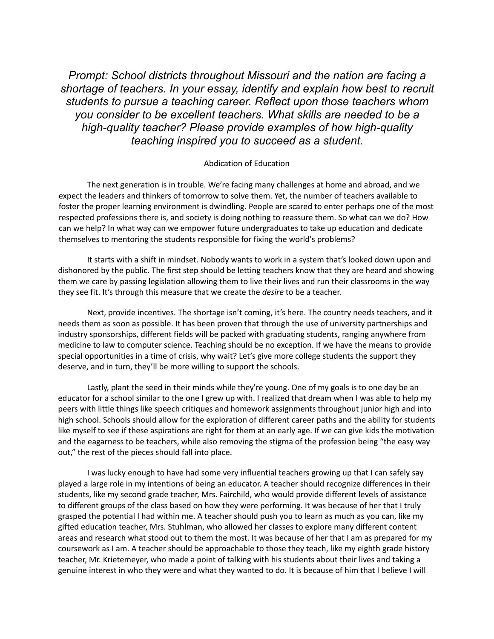*Prompt: School districts throughout Missouri and the nation are facing a shortage of teachers. In your essay, identify and explain how best to recruit students to pursue a teaching career. Reflect upon those teachers whom you consider to be excellent teachers. What skills are needed to be a high-quality teacher? Please provide examples of how high-quality teaching inspired you to succeed as a student.*

## Abdication of Education

The next generation is in trouble. We're facing many challenges at home and abroad, and we expect the leaders and thinkers of tomorrow to solve them. Yet, the number of teachers available to foster the proper learning environment is dwindling. People are scared to enter perhaps one of the most respected professions there is, and society is doing nothing to reassure them. So what can we do? How can we help? In what way can we empower future undergraduates to take up education and dedicate themselves to mentoring the students responsible for fixing the world's problems?

It starts with a shift in mindset. Nobody wants to work in a system that's looked down upon and dishonored by the public. The first step should be letting teachers know that they are heard and showing them we care by passing legislation allowing them to live their lives and run their classrooms in the way they see fit. It's through this measure that we create the *desire* to be a teacher.

Next, provide incentives. The shortage isn't coming, it's here. The country needs teachers, and it needs them as soon as possible. It has been proven that through the use of university partnerships and industry sponsorships, different fields will be packed with graduating students, ranging anywhere from medicine to law to computer science. Teaching should be no exception. If we have the means to provide special opportunities in a time of crisis, why wait? Let's give more college students the support they deserve, and in turn, they'll be more willing to support the schools.

Lastly, plant the seed in their minds while they're young. One of my goals is to one day be an educator for a school similar to the one I grew up with. I realized that dream when I was able to help my peers with little things like speech critiques and homework assignments throughout junior high and into high school. Schools should allow for the exploration of different career paths and the ability for students like myself to see if these aspirations are right for them at an early age. If we can give kids the motivation and the eagarness to be teachers, while also removing the stigma of the profession being "the easy way out," the rest of the pieces should fall into place.

I was lucky enough to have had some very influential teachers growing up that I can safely say played a large role in my intentions of being an educator. A teacher should recognize differences in their students, like my second grade teacher, Mrs. Fairchild, who would provide different levels of assistance to different groups of the class based on how they were performing. It was because of her that I truly grasped the potential I had within me. A teacher should push you to learn as much as you can, like my gifted education teacher, Mrs. Stuhlman, who allowed her classes to explore many different content areas and research what stood out to them the most. It was because of her that I am as prepared for my coursework as I am. A teacher should be approachable to those they teach, like my eighth grade history teacher, Mr. Krietemeyer, who made a point of talking with his students about their lives and taking a genuine interest in who they were and what they wanted to do. It is because of him that I believe I will